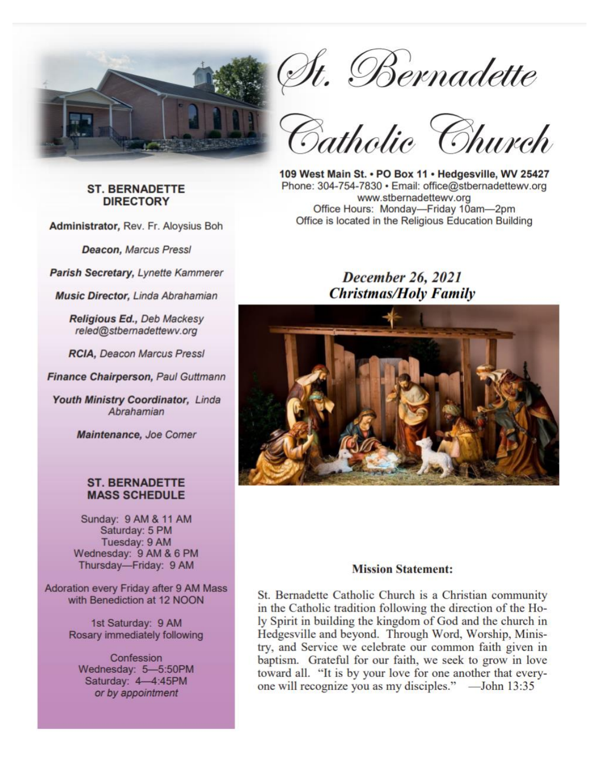

**ST. BERNADETTE DIRECTORY** 

Administrator, Rev. Fr. Aloysius Boh

**Deacon, Marcus Pressl** 

Parish Secretary, Lynette Kammerer

Music Director, Linda Abrahamian

Religious Ed., Deb Mackesy reled@stbernadettewv.org

**RCIA, Deacon Marcus Pressl** 

Finance Chairperson, Paul Guttmann

Youth Ministry Coordinator, Linda Abrahamian

Maintenance, Joe Comer

#### **ST. BERNADETTE MASS SCHEDULE**

Sunday: 9 AM & 11 AM Saturday: 5 PM Tuesday: 9 AM Wednesday: 9 AM & 6 PM Thursday-Friday: 9 AM

Adoration every Friday after 9 AM Mass with Benediction at 12 NOON

> 1st Saturday: 9 AM Rosary immediately following

Confession Wednesday: 5-5:50PM Saturday: 4-4:45PM or by appointment

St. Bernadette<br>Catholic Church

109 West Main St. . PO Box 11 . Hedgesville. WV 25427 Phone: 304-754-7830 · Email: office@stbernadettewv.org www.stbernadettewv.org Office Hours: Monday-Friday 10am-2pm Office is located in the Religious Education Building

# December 26, 2021 **Christmas/Holy Family**



#### **Mission Statement:**

St. Bernadette Catholic Church is a Christian community in the Catholic tradition following the direction of the Holy Spirit in building the kingdom of God and the church in Hedgesville and beyond. Through Word, Worship, Ministry, and Service we celebrate our common faith given in baptism. Grateful for our faith, we seek to grow in love toward all. "It is by your love for one another that everyone will recognize you as my disciples." — John 13:35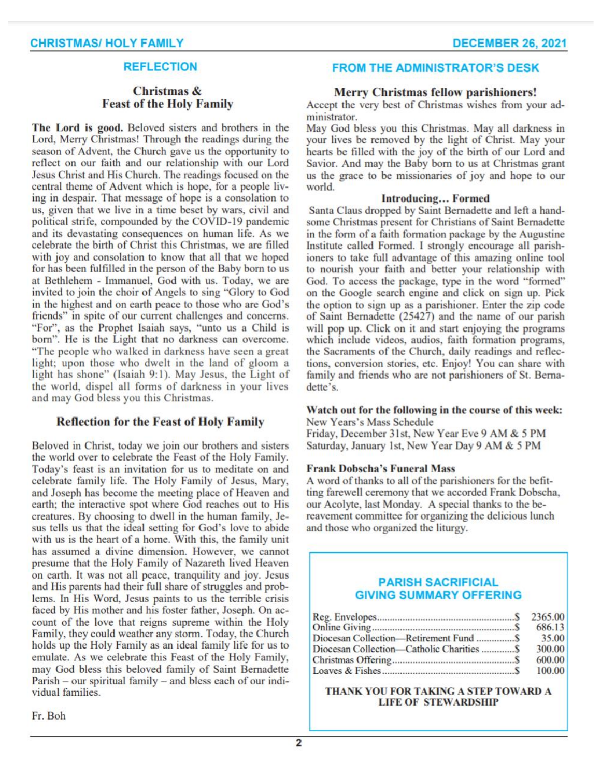## **REFLECTION**

### Christmas & **Feast of the Holy Family**

The Lord is good. Beloved sisters and brothers in the Lord, Merry Christmas! Through the readings during the season of Advent, the Church gave us the opportunity to reflect on our faith and our relationship with our Lord Jesus Christ and His Church. The readings focused on the central theme of Advent which is hope, for a people living in despair. That message of hope is a consolation to us, given that we live in a time beset by wars, civil and political strife, compounded by the COVID-19 pandemic and its devastating consequences on human life. As we celebrate the birth of Christ this Christmas, we are filled with joy and consolation to know that all that we hoped for has been fulfilled in the person of the Baby born to us at Bethlehem - Immanuel, God with us. Today, we are invited to join the choir of Angels to sing "Glory to God in the highest and on earth peace to those who are God's friends" in spite of our current challenges and concerns. "For", as the Prophet Isaiah says, "unto us a Child is born". He is the Light that no darkness can overcome. "The people who walked in darkness have seen a great light; upon those who dwelt in the land of gloom a light has shone" (Isaiah 9:1). May Jesus, the Light of the world, dispel all forms of darkness in your lives and may God bless you this Christmas.

#### **Reflection for the Feast of Holy Family**

Beloved in Christ, today we join our brothers and sisters the world over to celebrate the Feast of the Holy Family. Today's feast is an invitation for us to meditate on and celebrate family life. The Holy Family of Jesus, Mary, and Joseph has become the meeting place of Heaven and earth; the interactive spot where God reaches out to His creatures. By choosing to dwell in the human family, Jesus tells us that the ideal setting for God's love to abide with us is the heart of a home. With this, the family unit has assumed a divine dimension. However, we cannot presume that the Holy Family of Nazareth lived Heaven on earth. It was not all peace, tranquility and joy. Jesus and His parents had their full share of struggles and problems. In His Word, Jesus paints to us the terrible crisis faced by His mother and his foster father, Joseph. On account of the love that reigns supreme within the Holy Family, they could weather any storm. Today, the Church holds up the Holy Family as an ideal family life for us to emulate. As we celebrate this Feast of the Holy Family, may God bless this beloved family of Saint Bernadette Parish - our spiritual family - and bless each of our individual families.

**FROM THE ADMINISTRATOR'S DESK** 

#### **Merry Christmas fellow parishioners!**

Accept the very best of Christmas wishes from your administrator.

May God bless you this Christmas. May all darkness in your lives be removed by the light of Christ. May your hearts be filled with the joy of the birth of our Lord and Savior. And may the Baby born to us at Christmas grant us the grace to be missionaries of joy and hope to our world.

#### **Introducing... Formed**

Santa Claus dropped by Saint Bernadette and left a handsome Christmas present for Christians of Saint Bernadette in the form of a faith formation package by the Augustine Institute called Formed. I strongly encourage all parishioners to take full advantage of this amazing online tool to nourish your faith and better your relationship with God. To access the package, type in the word "formed" on the Google search engine and click on sign up. Pick the option to sign up as a parishioner. Enter the zip code of Saint Bernadette (25427) and the name of our parish will pop up. Click on it and start enjoying the programs which include videos, audios, faith formation programs, the Sacraments of the Church, daily readings and reflections, conversion stories, etc. Enjoy! You can share with family and friends who are not parishioners of St. Bernadette's.

#### Watch out for the following in the course of this week: New Years's Mass Schedule

Friday, December 31st, New Year Eve 9 AM & 5 PM Saturday, January 1st, New Year Day 9 AM & 5 PM

#### **Frank Dobscha's Funeral Mass**

A word of thanks to all of the parishioners for the befitting farewell ceremony that we accorded Frank Dobscha, our Acolyte, last Monday. A special thanks to the bereavement committee for organizing the delicious lunch and those who organized the liturgy.

### **PARISH SACRIFICIAL GIVING SUMMARY OFFERING**

|                                           | 2365.00 |
|-------------------------------------------|---------|
|                                           | 686.13  |
| Diocesan Collection-Retirement Fund  \$   | 35.00   |
| Diocesan Collection-Catholic Charities  S | 300.00  |
|                                           | 600.00  |
|                                           | 100.00  |

THANK YOU FOR TAKING A STEP TOWARD A **LIFE OF STEWARDSHIP**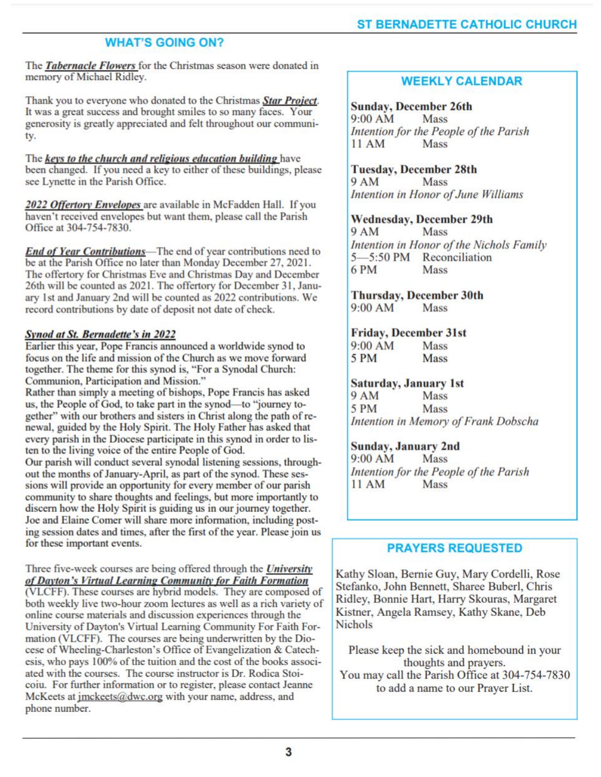# **WHAT'S GOING ON?**

The Tabernacle Flowers for the Christmas season were donated in memory of Michael Ridley.

Thank you to everyone who donated to the Christmas Star Project. It was a great success and brought smiles to so many faces. Your generosity is greatly appreciated and felt throughout our community.

The keys to the church and religious education building have been changed. If you need a key to either of these buildings, please see Lynette in the Parish Office.

2022 Offertory Envelopes are available in McFadden Hall. If you haven't received envelopes but want them, please call the Parish Office at 304-754-7830.

**End of Year Contributions**—The end of year contributions need to be at the Parish Office no later than Monday December 27, 2021. The offertory for Christmas Eve and Christmas Day and December 26th will be counted as 2021. The offertory for December 31, January 1st and January 2nd will be counted as 2022 contributions. We record contributions by date of deposit not date of check.

## **Synod at St. Bernadette's in 2022**

Earlier this year, Pope Francis announced a worldwide synod to focus on the life and mission of the Church as we move forward together. The theme for this synod is, "For a Synodal Church: Communion, Participation and Mission."

Rather than simply a meeting of bishops, Pope Francis has asked us, the People of God, to take part in the synod-to "journey together" with our brothers and sisters in Christ along the path of renewal, guided by the Holy Spirit. The Holy Father has asked that every parish in the Diocese participate in this synod in order to listen to the living voice of the entire People of God.

Our parish will conduct several synodal listening sessions, throughout the months of January-April, as part of the synod. These sessions will provide an opportunity for every member of our parish community to share thoughts and feelings, but more importantly to discern how the Holy Spirit is guiding us in our journey together. Joe and Elaine Comer will share more information, including posting session dates and times, after the first of the year. Please join us for these important events.

Three five-week courses are being offered through the *University* of Dayton's Virtual Learning Community for Faith Formation

(VLCFF). These courses are hybrid models. They are composed of both weekly live two-hour zoom lectures as well as a rich variety of online course materials and discussion experiences through the University of Dayton's Virtual Learning Community For Faith Formation (VLCFF). The courses are being underwritten by the Diocese of Wheeling-Charleston's Office of Evangelization & Catechesis, who pays 100% of the tuition and the cost of the books associated with the courses. The course instructor is Dr. Rodica Stoicoiu. For further information or to register, please contact Jeanne McKeets at imckeets@dwc.org with your name, address, and phone number.

# **WEEKLY CALENDAR**

#### **Sunday, December 26th**

 $9:00 AM$ **Mass** Intention for the People of the Parish  $11AM$ Mass

**Tuesday, December 28th** 

**9 AM** Mass Intention in Honor of June Williams

#### **Wednesday, December 29th**

**9 AM** Mass Intention in Honor of the Nichols Family 5-5:50 PM Reconciliation **Mass** 6 PM

#### **Thursday, December 30th**  $9:00 AM$

Mass

# **Friday, December 31st**

| 9:00 AM | Mass        |
|---------|-------------|
| 5 PM    | <b>Mass</b> |

### **Saturday, January 1st**

**9 AM** Mass 5 PM **Mass** Intention in Memory of Frank Dobscha

## Sunday, January 2nd

 $9:00 AM$ Mass Intention for the People of the Parish 11 AM Mass

# **PRAYERS REQUESTED**

Kathy Sloan, Bernie Guy, Mary Cordelli, Rose Stefanko, John Bennett, Sharee Buberl, Chris Ridley, Bonnie Hart, Harry Skouras, Margaret Kistner, Angela Ramsey, Kathy Skane, Deb **Nichols** 

Please keep the sick and homebound in your thoughts and prayers. You may call the Parish Office at 304-754-7830 to add a name to our Prayer List.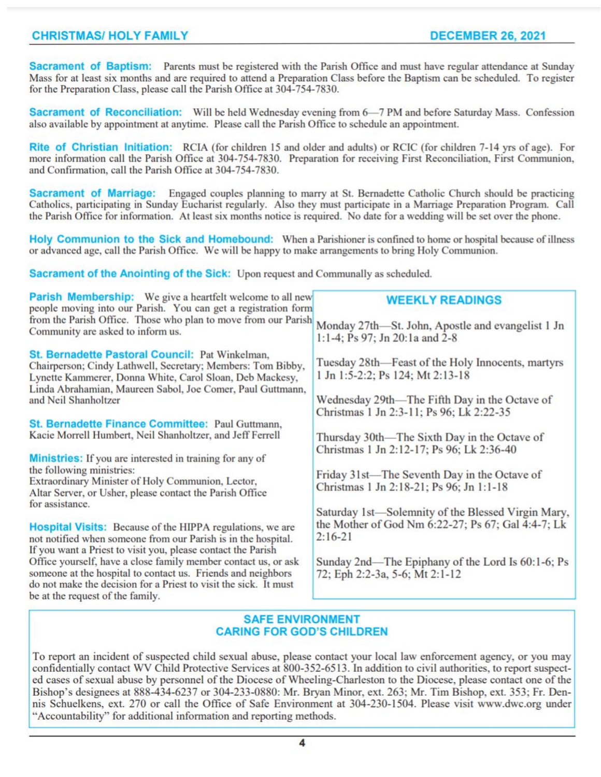Sacrament of Baptism: Parents must be registered with the Parish Office and must have regular attendance at Sunday Mass for at least six months and are required to attend a Preparation Class before the Baptism can be scheduled. To register for the Preparation Class, please call the Parish Office at 304-754-7830.

Sacrament of Reconciliation: Will be held Wednesday evening from 6-7 PM and before Saturday Mass. Confession also available by appointment at anytime. Please call the Parish Office to schedule an appointment.

Rite of Christian Initiation: RCIA (for children 15 and older and adults) or RCIC (for children 7-14 yrs of age). For more information call the Parish Office at 304-754-7830. Preparation for receiving First Reconciliation, First Communion, and Confirmation, call the Parish Office at 304-754-7830.

**Sacrament of Marriage:** Engaged couples planning to marry at St. Bernadette Catholic Church should be practicing Catholics, participating in Sunday Eucharist regularly. Also they must participate in a Marriage Preparation Program. Call the Parish Office for information. At least six months notice is required. No date for a wedding will be set over the phone.

Holy Communion to the Sick and Homebound: When a Parishioner is confined to home or hospital because of illness or advanced age, call the Parish Office. We will be happy to make arrangements to bring Holy Communion.

Sacrament of the Anointing of the Sick: Upon request and Communally as scheduled.

| <b>WEEKLY READINGS</b><br>people moving into our Parish. You can get a registration form<br>from the Parish Office. Those who plan to move from our Parish<br>Monday 27th—St. John, Apostle and evangelist 1 Jn<br>1:1-4; Ps 97; Jn 20:1a and 2-8                                                                                                                                                     |
|-------------------------------------------------------------------------------------------------------------------------------------------------------------------------------------------------------------------------------------------------------------------------------------------------------------------------------------------------------------------------------------------------------|
| Tuesday 28th—Feast of the Holy Innocents, martyrs<br>1 Jn 1:5-2:2; Ps 124; Mt 2:13-18<br>Wednesday 29th—The Fifth Day in the Octave of<br>Christmas 1 Jn 2:3-11; Ps 96; Lk 2:22-35                                                                                                                                                                                                                    |
| Thursday 30th—The Sixth Day in the Octave of<br>Christmas 1 Jn 2:12-17; Ps 96; Lk 2:36-40<br>Friday 31st—The Seventh Day in the Octave of<br>Christmas 1 Jn 2:18-21; Ps 96; Jn 1:1-18<br>Saturday 1st-Solemnity of the Blessed Virgin Mary,<br>the Mother of God Nm 6:22-27; Ps 67; Gal 4:4-7; Lk<br>$2:16-21$<br>Sunday 2nd—The Epiphany of the Lord Is 60:1-6; Ps<br>72; Eph 2:2-3a, 5-6; Mt 2:1-12 |
|                                                                                                                                                                                                                                                                                                                                                                                                       |

## **SAFE ENVIRONMENT CARING FOR GOD'S CHILDREN**

To report an incident of suspected child sexual abuse, please contact your local law enforcement agency, or you may confidentially contact WV Child Protective Services at 800-352-6513. In addition to civil authorities, to report suspected cases of sexual abuse by personnel of the Diocese of Wheeling-Charleston to the Diocese, please contact one of the Bishop's designees at 888-434-6237 or 304-233-0880: Mr. Bryan Minor, ext. 263; Mr. Tim Bishop, ext. 353; Fr. Dennis Schuelkens, ext. 270 or call the Office of Safe Environment at 304-230-1504. Please visit www.dwc.org under "Accountability" for additional information and reporting methods.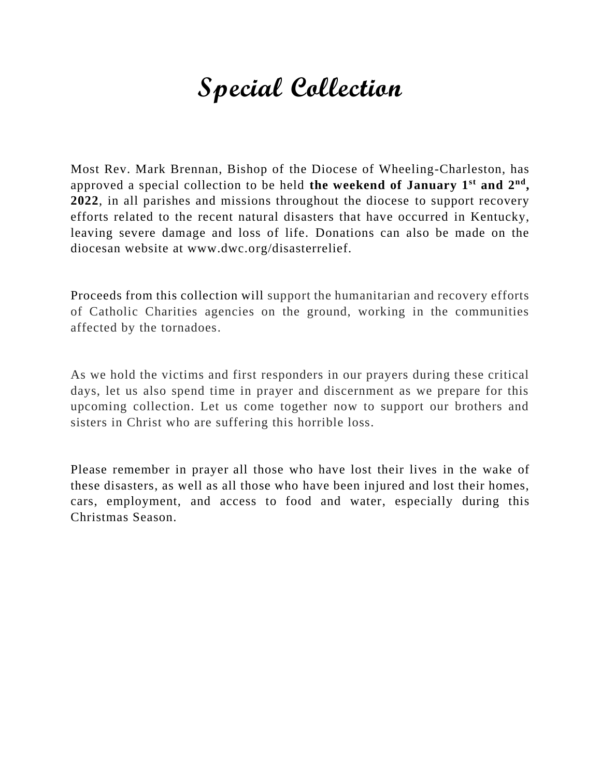# **Special Collection**

Most Rev. Mark Brennan, Bishop of the Diocese of Wheeling-Charleston, has approved a special collection to be held **the weekend of January 1st and 2nd , 2022**, in all parishes and missions throughout the diocese to support recovery efforts related to the recent natural disasters that have occurred in Kentucky, leaving severe damage and loss of life. Donations can also be made on the diocesan website at www.dwc.org/disasterrelief.

Proceeds from this collection will support the humanitarian and recovery efforts of Catholic Charities agencies on the ground, working in the communities affected by the tornadoes.

As we hold the victims and first responders in our prayers during these critical days, let us also spend time in prayer and discernment as we prepare for this upcoming collection. Let us come together now to support our brothers and sisters in Christ who are suffering this horrible loss.

Please remember in prayer all those who have lost their lives in the wake of these disasters, as well as all those who have been injured and lost their homes, cars, employment, and access to food and water, especially during this Christmas Season.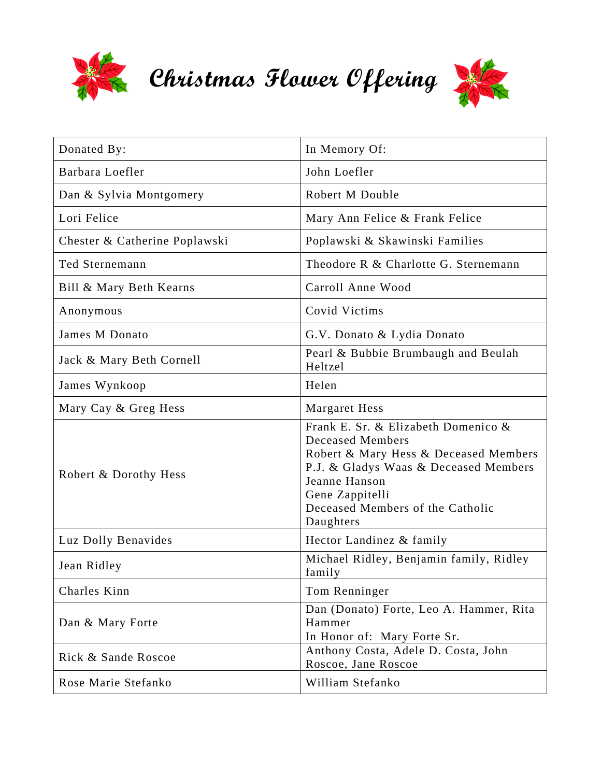

**Christmas Flower Offering** 



| Donated By:                   | In Memory Of:                                                                                                                                                                                                                         |
|-------------------------------|---------------------------------------------------------------------------------------------------------------------------------------------------------------------------------------------------------------------------------------|
| Barbara Loefler               | John Loefler                                                                                                                                                                                                                          |
| Dan & Sylvia Montgomery       | Robert M Double                                                                                                                                                                                                                       |
| Lori Felice                   | Mary Ann Felice & Frank Felice                                                                                                                                                                                                        |
| Chester & Catherine Poplawski | Poplawski & Skawinski Families                                                                                                                                                                                                        |
| Ted Sternemann                | Theodore R & Charlotte G. Sternemann                                                                                                                                                                                                  |
| Bill & Mary Beth Kearns       | Carroll Anne Wood                                                                                                                                                                                                                     |
| Anonymous                     | Covid Victims                                                                                                                                                                                                                         |
| James M Donato                | G.V. Donato & Lydia Donato                                                                                                                                                                                                            |
| Jack & Mary Beth Cornell      | Pearl & Bubbie Brumbaugh and Beulah<br>Heltzel                                                                                                                                                                                        |
| James Wynkoop                 | Helen                                                                                                                                                                                                                                 |
| Mary Cay & Greg Hess          | Margaret Hess                                                                                                                                                                                                                         |
| Robert & Dorothy Hess         | Frank E. Sr. & Elizabeth Domenico &<br><b>Deceased Members</b><br>Robert & Mary Hess & Deceased Members<br>P.J. & Gladys Waas & Deceased Members<br>Jeanne Hanson<br>Gene Zappitelli<br>Deceased Members of the Catholic<br>Daughters |
| Luz Dolly Benavides           | Hector Landinez & family                                                                                                                                                                                                              |
| Jean Ridley                   | Michael Ridley, Benjamin family, Ridley<br>family                                                                                                                                                                                     |
| Charles Kinn                  | Tom Renninger                                                                                                                                                                                                                         |
| Dan & Mary Forte              | Dan (Donato) Forte, Leo A. Hammer, Rita<br>Hammer<br>In Honor of: Mary Forte Sr.                                                                                                                                                      |
| Rick & Sande Roscoe           | Anthony Costa, Adele D. Costa, John<br>Roscoe, Jane Roscoe                                                                                                                                                                            |
| Rose Marie Stefanko           | William Stefanko                                                                                                                                                                                                                      |